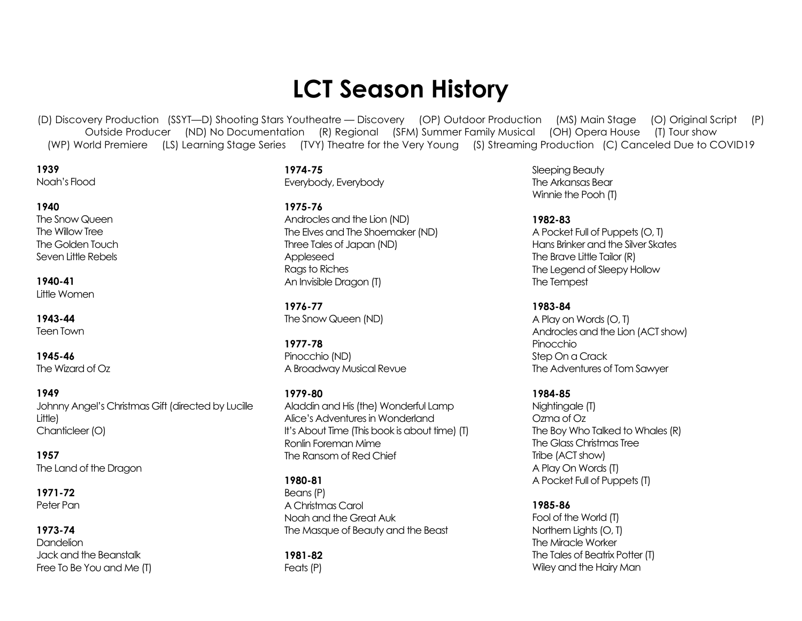# **LCT Season History**

(D) Discovery Production (SSYT—D) Shooting Stars Youtheatre — Discovery (OP) Outdoor Production (MS) Main Stage (O) Original Script (P) Outside Producer (ND) No Documentation (R) Regional (SFM) Summer Family Musical (OH) Opera House (T) Tour show (WP) World Premiere (LS) Learning Stage Series (TVY) Theatre for the Very Young (S) Streaming Production (C) Canceled Due to COVID19

**1939** Noah's Flood

#### **1940**

The Snow Queen The Willow Tree The Golden Touch Seven Little Rebels

**1940-41** Little Women

**1943-44** Teen Town

**1945-46** The Wizard of Oz

**1949** Johnny Angel's Christmas Gift(directed by Lucille Little) Chanticleer (O)

**1957** The Land of the Dragon

**1971-72** Peter Pan

**1973-74** Dandelion

Jack and the Beanstalk Free To Be You and Me (T) **1974-75** Everybody, Everybody

**1975-76** Androcles and the Lion (ND) The Elves and The Shoemaker (ND) Three Tales of Japan (ND) Appleseed Rags to Riches

**1976-77** The Snow Queen (ND)

An Invisible Dragon (T)

**1977-78** Pinocchio (ND) A Broadway Musical Revue

**1979-80** Aladdin and His (the) Wonderful Lamp Alice's Adventures in Wonderland It's About Time (This book is about time) (T) Ronlin Foreman Mime The Ransom of Red Chief

#### **1980-81**

Beans (P) A Christmas Carol Noah and the Great Auk The Masque of Beauty and the Beast

**1981-82** Feats (P)

Sleeping Beauty The Arkansas Bear Winnie the Pooh (T)

**1982-83** A Pocket Full of Puppets (O, T) Hans Brinker and the Silver Skates The Brave Little Tailor (R) The Legend of Sleepy Hollow The Tempest

**1983-84** A Play on Words (O, T) Androcles and the Lion (ACT show) Pinocchio Step On a Crack The Adventures of Tom Sawyer

**1984-85** Nightingale (T) Ozma of Oz The Boy Who Talked to Whales (R) The Glass Christmas Tree Tribe (ACT show) A Play On Words (T) A Pocket Full of Puppets (T)

**1985-86** Fool of the World (T) Northern Lights (O, T) The Miracle Worker The Tales of Beatrix Potter (T) Wiley and the Hairy Man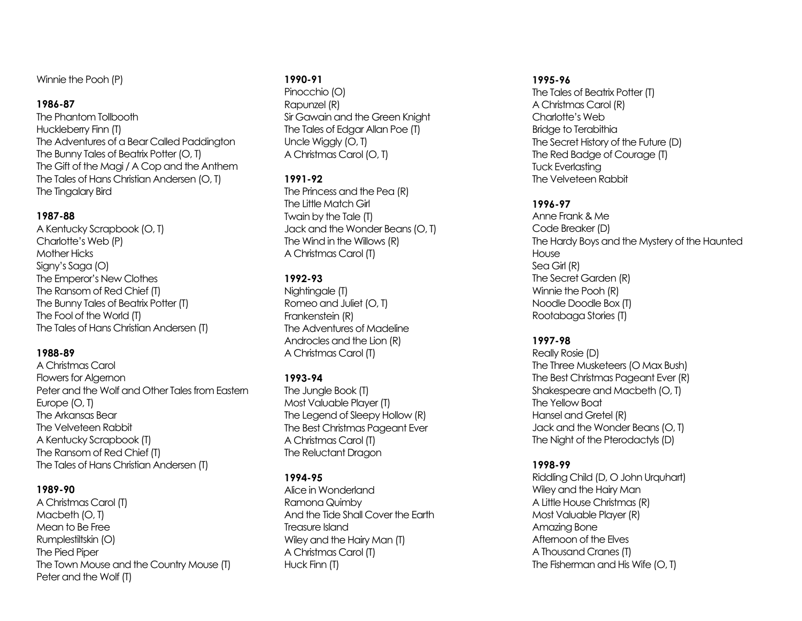Winnie the Pooh (P)

#### **1986-87**

The Phantom Tollbooth Huckleberry Finn (T) The Adventures of a Bear Called Paddington The Bunny Tales of Beatrix Potter (O, T) The Gift of the Magi / A Cop and the Anthem The Tales of Hans Christian Andersen (O, T) The Tingalary Bird

#### **1987-88**

A Kentucky Scrapbook (O, T) Charlotte's Web (P) Mother Hicks Signy's Saga (O) The Emperor's New Clothes The Ransom of Red Chief (T) The Bunny Tales of Beatrix Potter (T) The Fool of the World (T) The Tales of Hans Christian Andersen (T)

## **1988-89**

A Christmas Carol Flowers for Algernon Peter and the Wolf and Other Tales from Eastern Europe (O, T) The Arkansas Bear The Velveteen Rabbit A Kentucky Scrapbook (T) The Ransom of Red Chief (T) The Tales of Hans Christian Andersen (T)

## **1989-90**

A Christmas Carol (T) Macbeth (O, T) Mean to Be Free Rumplestiltskin (O) The Pied Piper The Town Mouse and the Country Mouse (T) Peter and the Wolf (T)

#### **1990-91**

Pinocchio (O) Rapunzel (R) Sir Gawain and the Green Knight The Tales of Edgar Allan Poe (T) Uncle Wiggly (O, T) A Christmas Carol (O, T)

## **1991-92**

The Princess and the Pea (R) The Little Match Girl Twain by the Tale (T) Jack and the Wonder Beans (O, T) The Wind in the Willows (R) A Christmas Carol (T)

# **1992-93**

Nightingale (T) Romeo and Juliet (O, T) Frankenstein (R) The Adventures of Madeline Androcles and the Lion (R) A Christmas Carol (T)

# **1993-94**

The Jungle Book (T) Most Valuable Player (T) The Legend of Sleepy Hollow (R) The Best Christmas Pageant Ever A Christmas Carol (T) The Reluctant Dragon

## **1994-95**

Alice in Wonderland Ramona Quimby And the Tide Shall Cover the Earth Treasure Island Wiley and the Hairy Man (T) A Christmas Carol (T) Huck Finn (T)

#### **1995-96**

The Tales of Beatrix Potter (T) A Christmas Carol (R) Charlotte's Web Bridge to Terabithia The Secret History of the Future (D) The Red Badge of Courage (T) Tuck Everlasting The Velveteen Rabbit

## **1996-97**

Anne Frank & Me Code Breaker (D) The Hardy Boys and the Mystery of the Haunted **House** Sea Girl (R) The Secret Garden (R) Winnie the Pooh (R) Noodle Doodle Box (T) Rootabaga Stories (T)

## **1997-98**

Really Rosie (D) The Three Musketeers (O Max Bush) The Best Christmas Pageant Ever (R) Shakespeare and Macbeth (O, T) The Yellow Boat Hansel and Gretel (R) Jack and the Wonder Beans (O, T) The Night of the Pterodactyls (D)

## **1998-99**

Riddling Child (D, O John Urquhart) Wiley and the Hairy Man A Little House Christmas (R) Most Valuable Player (R) Amazing Bone Afternoon of the Elves A Thousand Cranes (T) The Fisherman and His Wife (O, T)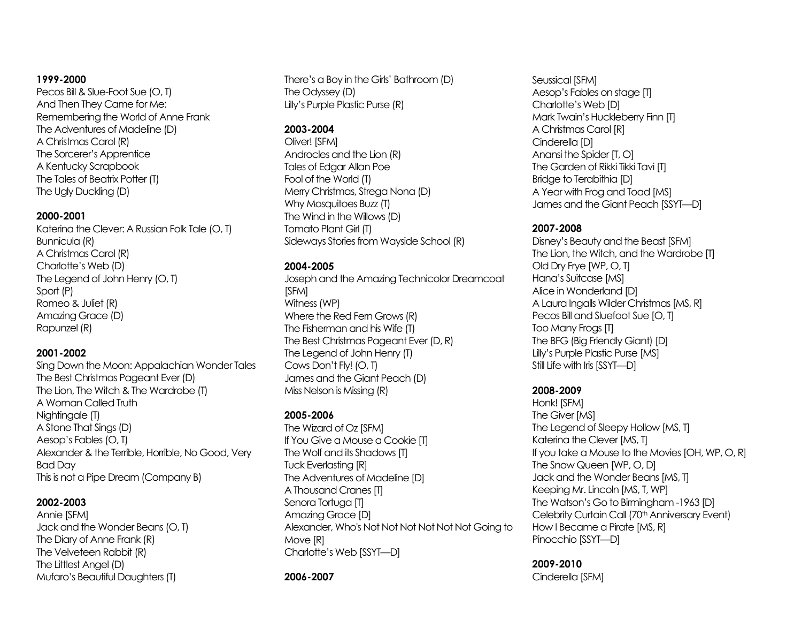#### **1999-2000**

Pecos Bill & Slue-Foot Sue (O, T) And Then They Came for Me: Remembering the World of Anne Frank The Adventures of Madeline (D) A Christmas Carol (R) The Sorcerer's Apprentice A Kentucky Scrapbook The Tales of Beatrix Potter (T) The Ugly Duckling (D)

#### **2000-2001**

Katerina the Clever: A Russian Folk Tale (O, T) Bunnicula (R) A Christmas Carol (R) Charlotte's Web (D) The Legend of John Henry (O, T) Sport (P) Romeo & Juliet (R) Amazing Grace (D) Rapunzel (R)

#### **2001-2002**

Sing Down the Moon: Appalachian Wonder Tales The Best Christmas Pageant Ever (D) The Lion, The Witch & The Wardrobe (T) A Woman Called Truth Nightingale (T) A Stone That Sings (D) Aesop's Fables (O, T) Alexander & the Terrible, Horrible, No Good, Very Bad Day This is not a Pipe Dream (Company B)

#### **2002-2003**

Annie [SFM] Jack and the Wonder Beans (O, T) The Diary of Anne Frank (R) The Velveteen Rabbit (R) The Littlest Angel (D) Mufaro's Beautiful Daughters(T)

There's a Boy in the Girls' Bathroom (D) The Odyssey (D) Lilly's Purple Plastic Purse (R)

# **2003-2004**

Oliver! [SFM] Androcles and the Lion (R) Tales of Edgar Allan Poe Fool of the World (T) Merry Christmas, Strega Nona (D) Why Mosquitoes Buzz (T) The Wind in the Willows (D) Tomato Plant Girl (T) Sideways Stories from Wayside School (R)

## **2004-2005**

Joseph and the Amazing Technicolor Dreamcoat [SFM] Witness (WP) Where the Red Fern Grows (R) The Fisherman and his Wife (T) The Best Christmas Pageant Ever (D, R) The Legend of John Henry (T) Cows Don't Fly! (O, T) James and the Giant Peach (D) Miss Nelson is Missing (R)

## **2005-2006**

The Wizard of Oz [SFM] If You Give a Mouse a Cookie [T] The Wolf and its Shadows [T] Tuck Everlasting [R] The Adventures of Madeline [D] A Thousand Cranes [T] Senora Tortuga [T] Amazing Grace [D] Alexander, Who's Not Not Not Not Not Not Going to Move [R] Charlotte's Web [SSYT—D]

#### **2006-2007**

Seussical [SFM] Aesop's Fables on stage [T] Charlotte's Web [D] Mark Twain's Huckleberry Finn [T] A Christmas Carol [R] Cinderella [D] Anansi the Spider [T, O] The Garden of Rikki Tikki Tavi [T] Bridge to Terabithia [D] A Year with Frog and Toad [MS] James and the Giant Peach [SSYT—D]

#### **2007-2008**

Disney's Beauty and the Beast [SFM] The Lion, the Witch, and the Wardrobe [T] Old Dry Frye [WP, O, T] Hana's Suitcase [MS] Alice in Wonderland [D] A Laura Ingalls Wilder Christmas [MS, R] Pecos Bill and Sluefoot Sue [O, T] Too Many Frogs [T] The BFG (Big Friendly Giant) [D] Lilly's Purple Plastic Purse [MS] Still Life with Iris [SSYT—D]

## **2008-2009**

Honk! [SFM] The Giver [MS] The Legend of Sleepy Hollow [MS, T] Katerina the Clever [MS, T] If you take a Mouse to the Movies [OH, WP, O, R] The Snow Queen [WP, O, D] Jack and the Wonder Beans [MS, T] Keeping Mr. Lincoln [MS, T, WP] The Watson's Go to Birmingham -1963 [D] Celebrity Curtain Call (70<sup>th</sup> Anniversary Event) How I Became a Pirate [MS, R] Pinocchio [SSYT—D]

**2009-2010** Cinderella [SFM]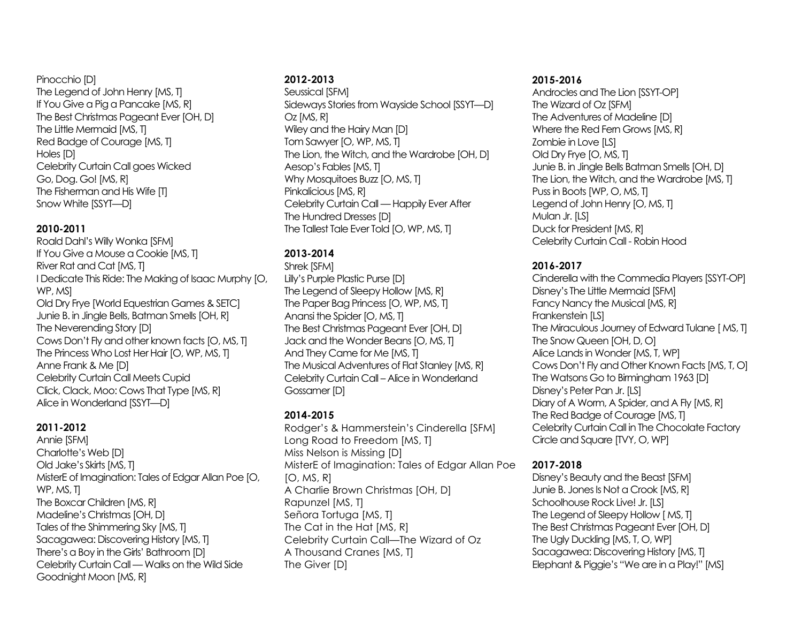#### Pinocchio [D] The Legend of John Henry [MS, T] If You Give a Pig a Pancake [MS, R] The Best Christmas Pageant Ever [OH, D] The Little Mermaid [MS, T] Red Badge of Courage [MS, T] Holes [D] Celebrity Curtain Call goes Wicked Go, Dog. Go! [MS, R] The Fisherman and His Wife [T] Snow White [SSYT—D]

## **2010-2011**

Roald Dahl's Willy Wonka [SFM] If You Give a Mouse a Cookie [MS, T] River Rat and Cat [MS, T] I Dedicate This Ride: The Making of Isaac Murphy [O, WP, MS] Old Dry Frye [World Equestrian Games & SETC] Junie B. in Jingle Bells, Batman Smells [OH, R] The Neverending Story [D] Cows Don't Fly and other known facts [O, MS, T] The Princess Who Lost Her Hair [O, WP, MS, T] Anne Frank & Me [D] Celebrity Curtain Call Meets Cupid Click, Clack, Moo: Cows That Type [MS, R] Alice in Wonderland [SSYT—D]

# **2011-2012**

Annie [SFM] Charlotte's Web [D] Old Jake's Skirts [MS, T] MisterE of Imagination: Tales of Edgar Allan Poe [O, WP, MS, T] The Boxcar Children [MS, R] Madeline's Christmas [OH, D] Tales of the Shimmering Sky [MS, T] Sacagawea: Discovering History [MS, T] There's a Boy in the Girls' Bathroom [D] Celebrity Curtain Call — Walks on the Wild Side Goodnight Moon [MS, R]

# **2012-2013**

Seussical [SFM] Sideways Stories from Wayside School [SSYT—D] Oz [MS, R] Wiley and the Hairy Man [D] Tom Sawyer [O, WP, MS, T] The Lion, the Witch, and the Wardrobe [OH, D] Aesop's Fables [MS, T] Why Mosquitoes Buzz [O, MS, T] Pinkalicious [MS, R] Celebrity Curtain Call — Happily Ever After The Hundred Dresses [D] The Tallest Tale Ever Told [O, WP, MS, T]

# **2013-2014**

Shrek [SFM]

Lilly's Purple Plastic Purse [D] The Legend of Sleepy Hollow [MS, R] The Paper Bag Princess [O, WP, MS, T] Anansi the Spider [O, MS, T] The Best Christmas Pageant Ever [OH, D] Jack and the Wonder Beans [O, MS, T] And They Came for Me [MS, T] The Musical Adventures of Flat Stanley [MS, R] Celebrity Curtain Call – Alice in Wonderland Gossamer [D]

# **2014-2015**

Rodger's & Hammerstein's Cinderella [SFM] Long Road to Freedom [MS, T] Miss Nelson is Missing [D] MisterE of Imagination: Tales of Edgar Allan Poe  $[O, MS, R]$ A Charlie Brown Christmas [OH, D] Rapunzel [MS, T] Señora Tortuga [MS, T] The Cat in the Hat [MS, R] Celebrity Curtain Call—The Wizard of Oz A Thousand Cranes [MS, T] The Giver [D]

# **2015-2016**

Androcles and The Lion [SSYT-OP] The Wizard of Oz [SFM] The Adventures of Madeline [D] Where the Red Fern Grows [MS, R] Zombie in Love [LS] Old Dry Frye [O, MS, T] Junie B. in Jingle Bells Batman Smells [OH, D] The Lion, the Witch, and the Wardrobe [MS, T] Puss in Boots [WP, O, MS, T] Legend of John Henry [O, MS, T] Mulan Jr. [LS] Duck for President [MS, R] Celebrity Curtain Call - Robin Hood

# **2016-2017**

Cinderella with the Commedia Players [SSYT-OP] Disney's The Little Mermaid [SFM] Fancy Nancy the Musical [MS, R] Frankenstein [LS] The Miraculous Journey of Edward Tulane [ MS, T] The Snow Queen [OH, D, O] Alice Lands in Wonder [MS, T, WP] Cows Don't Fly and Other Known Facts [MS, T, O] The Watsons Go to Birmingham 1963 [D] Disney's Peter Pan Jr. [LS] Diary of A Worm, A Spider, and A Fly [MS, R] The Red Badge of Courage [MS, T] Celebrity Curtain Call in The Chocolate Factory Circle and Square [TVY, O, WP]

# **2017-2018**

Disney's Beauty and the Beast [SFM] Junie B. Jones Is Not a Crook [MS, R] Schoolhouse Rock Live! Jr. [LS] The Legend of Sleepy Hollow [MS, T] The Best Christmas Pageant Ever [OH, D] The Ugly Duckling [MS, T, O, WP] Sacagawea: Discovering History [MS, T] Elephant & Piggie's "We are in a Play!" [MS]